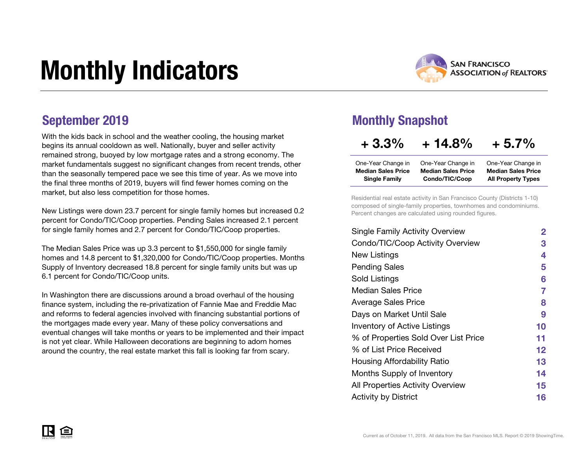# Monthly Indicators



With the kids back in school and the weather cooling, the housing market begins its annual cooldown as well. Nationally, buyer and seller activity remained strong, buoyed by low mortgage rates and a strong economy. The market fundamentals suggest no significant changes from recent trends, other than the seasonally tempered pace we see this time of year. As we move into the final three months of 2019, buyers will find fewer homes coming on the market, but also less competition for those homes.

New Listings were down 23.7 percent for single family homes but increased 0.2 percent for Condo/TIC/Coop properties. Pending Sales increased 2.1 percent for single family homes and 2.7 percent for Condo/TIC/Coop properties.

The Median Sales Price was up 3.3 percent to \$1,550,000 for single family homes and 14.8 percent to \$1,320,000 for Condo/TIC/Coop properties. Months Supply of Inventory decreased 18.8 percent for single family units but was up 6.1 percent for Condo/TIC/Coop units.

In Washington there are discussions around a broad overhaul of the housing finance system, including the re-privatization of Fannie Mae and Freddie Mac and reforms to federal agencies involved with financing substantial portions of the mortgages made every year. Many of these policy conversations and eventual changes will take months or years to be implemented and their impact is not yet clear. While Halloween decorations are beginning to adorn homes around the country, the real estate market this fall is looking far from scary.

### September 2019 Monthly Snapshot

### $+3.3\% + 14.8\% + 5.7\%$

| One-Year Change in        | One-Year Change in        | One-Year Change in        |
|---------------------------|---------------------------|---------------------------|
| <b>Median Sales Price</b> | <b>Median Sales Price</b> | <b>Median Sales Price</b> |
| <b>Single Family</b>      | Condo/TIC/Coop            | <b>All Property Types</b> |

Residential real estate activity in San Francisco County (Districts 1-10) composed of single-family properties, townhomes and condominiums. Percent changes are calculated using rounded figures.

| <b>Single Family Activity Overview</b> | $\mathbf 2$ |
|----------------------------------------|-------------|
| Condo/TIC/Coop Activity Overview       | 3           |
| New Listings                           | 4           |
| <b>Pending Sales</b>                   | 5           |
| Sold Listings                          | 6           |
| Median Sales Price                     | 7           |
| <b>Average Sales Price</b>             | 8           |
| Days on Market Until Sale              | 9           |
| <b>Inventory of Active Listings</b>    | 10          |
| % of Properties Sold Over List Price   | 11          |
| % of List Price Received               | 12          |
| Housing Affordability Ratio            | 13          |
| Months Supply of Inventory             | 14          |
| All Properties Activity Overview       | 15          |
| <b>Activity by District</b>            | 16          |
|                                        |             |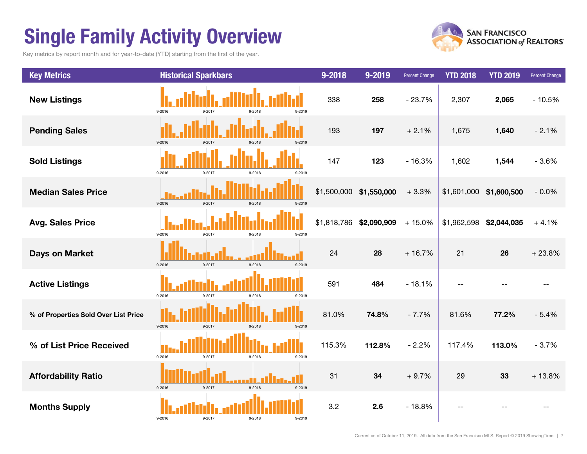## Single Family Activity Overview

Key metrics by report month and for year-to-date (YTD) starting from the first of the year.



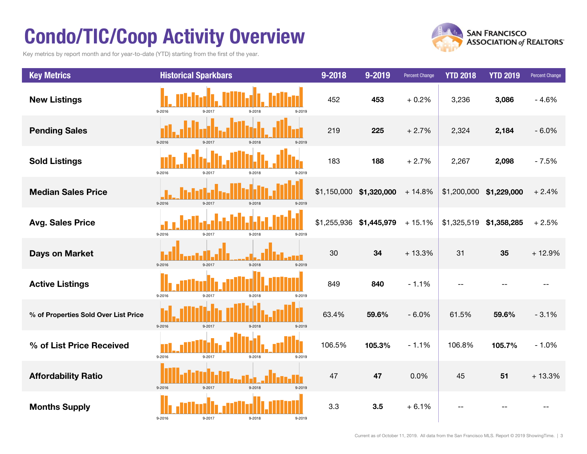## Condo/TIC/Coop Activity Overview

Key metrics by report month and for year-to-date (YTD) starting from the first of the year.



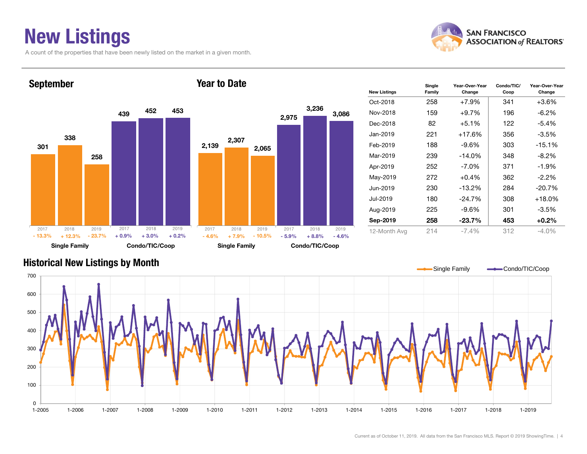### New Listings

A count of the properties that have been newly listed on the market in a given month.



Year-Over-Year Change



#### Historical New Listings by Month

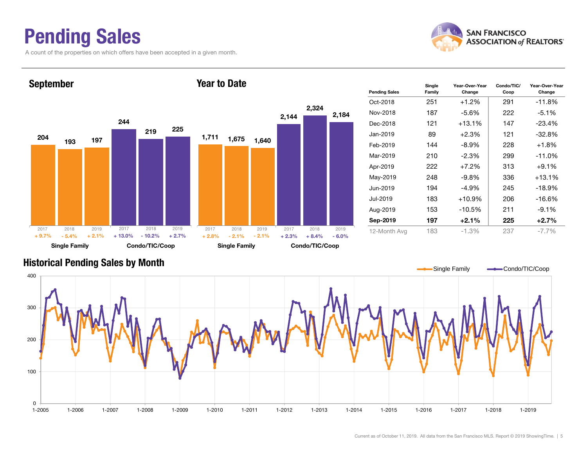### Pending Sales

A count of the properties on which offers have been accepted in a given month.





#### Historical Pending Sales by Month

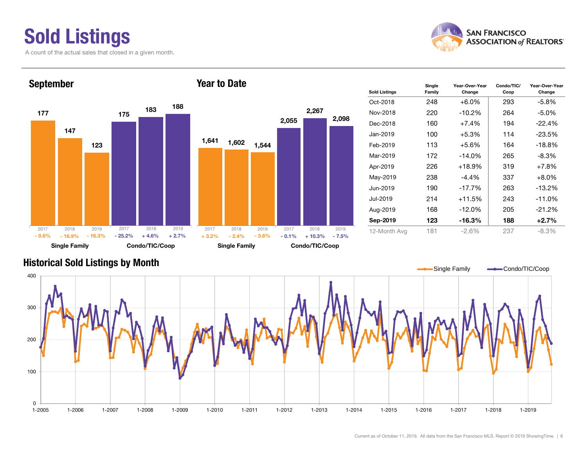# Sold Listings

A count of the actual sales that closed in a given month.



Year-Over-Year Change



### Historical Sold Listings by Month

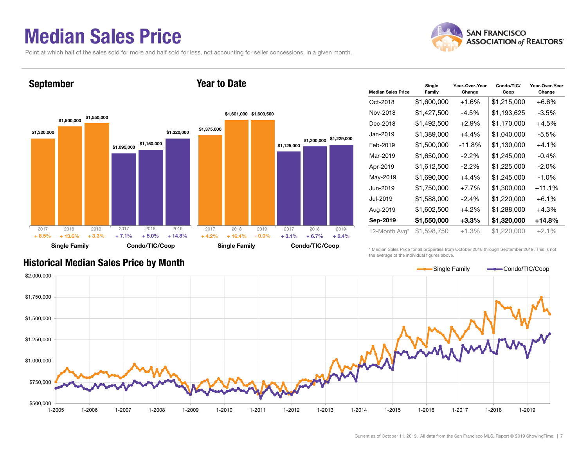### Median Sales Price

Point at which half of the sales sold for more and half sold for less, not accounting for seller concessions, in a given month.

Year to Date



#### September



| <b>Median Sales Price</b> | Single<br>Family | Year-Over-Year<br>Change | Condo/TIC/<br>Coop | Year-Over-Year<br>Change |  |  |  |
|---------------------------|------------------|--------------------------|--------------------|--------------------------|--|--|--|
| Oct-2018                  | \$1,600,000      | $+1.6%$                  | \$1,215,000        | $+6.6%$                  |  |  |  |
| Nov-2018                  | \$1,427,500      | $-4.5\%$                 | \$1,193,625        | $-3.5%$                  |  |  |  |
| Dec-2018                  | \$1,492,500      | $+2.9%$                  | \$1,170,000        | $+4.5%$                  |  |  |  |
| Jan-2019                  | \$1,389,000      | $+4.4\%$                 | \$1,040,000        | -5.5%                    |  |  |  |
| Feb-2019                  | \$1,500,000      | $-11.8%$                 | \$1,130,000        | $+4.1%$                  |  |  |  |
| Mar-2019                  | \$1,650,000      | \$1,245,000<br>$-2.2%$   |                    | $-0.4%$                  |  |  |  |
| Apr-2019                  | \$1,612,500      | $-2.2\%$                 | \$1,225,000        | $-2.0%$                  |  |  |  |
| May-2019                  | \$1,690,000      | $+4.4%$                  | \$1,245,000        | $-1.0%$                  |  |  |  |
| Jun-2019                  | \$1,750,000      | $+7.7%$                  | \$1,300,000        | $+11.1%$                 |  |  |  |
| Jul-2019                  | \$1,588,000      | $-2.4%$                  | \$1,220,000        | $+6.1%$                  |  |  |  |
| Aug-2019                  | \$1,602,500      | $+4.2%$                  | \$1,288,000        | $+4.3%$                  |  |  |  |
| Sep-2019                  | \$1,550,000      | $+3.3\%$                 | \$1,320,000        | $+14.8%$                 |  |  |  |
| 12-Month Avg*             | \$1,598,750      | +1.3%                    | \$1,220,000        | $+2.1%$                  |  |  |  |

#### Historical Median Sales Price by Month

\* Median Sales Price for all properties from October 2018 through September 2019. This is not the average of the individual figures above.

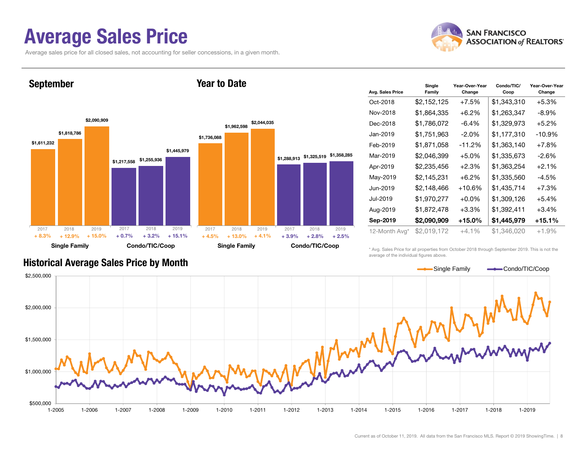### Average Sales Price

September

Average sales price for all closed sales, not accounting for seller concessions, in a given month.



#### \$1,611,232 \$1,217,558 \$1,255,936 \$1,818,786 \$2,090,909 \$1,445,979 Single Family Condo/TIC/Coop \$1,736,088 \$1,288,913 \$1,325,519 \$1,358,285 \$1,962,598 \$2,044,035 Single Family Condo/TIC/Coop 2017 2018 2019 $\%$  + 12.9% + 15.0% + 0.7% + 3.2% + 15.1% + 4.5%  $\%$  + 15.0% + 0.7% + 3.2% + 15.1% + 4.5% + 13.0% + 4.1% + 3.9% + 2.8%  $+ 2.8\% + 2.5\%$ 2017 2018 2019 2017 2018 2019 2017 2018 2019 + 8.3% $+4.5\%$   $+13.0\%$   $+4.1\%$   $+3.9\%$

Year to Date

| Avg. Sales Price | Single<br>Family                                   | Year-Over-Year<br>Change | Condo/TIC/<br>Coop | Year-Over-Year<br>Change |  |  |
|------------------|----------------------------------------------------|--------------------------|--------------------|--------------------------|--|--|
| Oct-2018         | \$2,152,125                                        | +7.5%                    | \$1,343,310        | $+5.3%$                  |  |  |
| Nov-2018         | \$1,864,335                                        | $+6.2\%$                 | \$1,263,347        | $-8.9\%$                 |  |  |
| Dec-2018         | \$1,786,072                                        | $-6.4%$                  | \$1,329,973        | $+5.2%$                  |  |  |
| Jan-2019         | \$1,177,310<br>\$1,751,963<br>$-2.0\%$<br>$-10.9%$ |                          |                    |                          |  |  |
| Feb-2019         | \$1,871,058                                        | $-11.2%$                 | \$1,363,140        | $+7.8%$                  |  |  |
| Mar-2019         | \$2,046,399                                        | $+5.0%$                  | \$1,335,673        | $-2.6%$                  |  |  |
| Apr-2019         | \$2,235,456                                        | $+2.3%$                  | \$1,363,254        | $+2.1%$                  |  |  |
| May-2019         | \$2,145,231                                        | $+6.2\%$                 | \$1,335,560        | $-4.5%$                  |  |  |
| Jun-2019         | \$2,148,466                                        | $+10.6\%$                | \$1,435,714        | $+7.3%$                  |  |  |
| Jul-2019         | \$1,970,277                                        | $+0.0\%$                 | \$1,309,126        | $+5.4%$                  |  |  |
| Aug-2019         | \$1,872,478                                        | $+3.3\%$                 | \$1,392,411        | $+3.4%$                  |  |  |
| Sep-2019         | \$2,090,909                                        | $+15.0\%$                | \$1,445,979        | $+15.1%$                 |  |  |
| 12-Month Avg*    | \$2,019,172                                        | $+4.1\%$                 | \$1,346,020        | $+1.9%$                  |  |  |

### Historical Average Sales Price by Month

\* Avg. Sales Price for all properties from October 2018 through September 2019. This is not the average of the individual figures above.

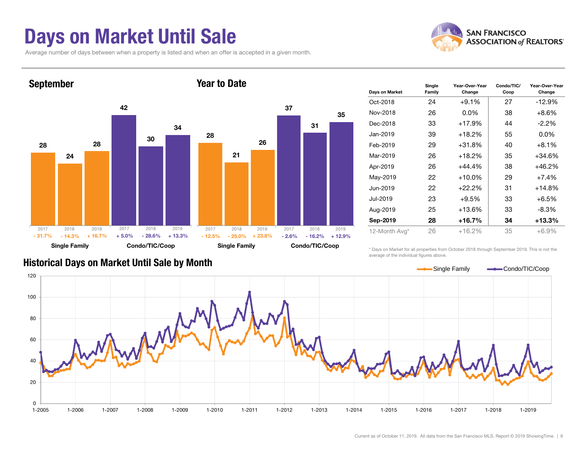### Days on Market Until Sale

Average number of days between when a property is listed and when an offer is accepted in a given month.





| Days on Market | Single<br>Family | Year-Over-Year<br>Change | Condo/TIC/<br>Coop | Year-Over-Year<br>Change |  |
|----------------|------------------|--------------------------|--------------------|--------------------------|--|
| Oct-2018       | 24               | $+9.1%$                  | 27                 | $-12.9%$                 |  |
| Nov-2018       | 26               | $0.0\%$                  | 38                 | $+8.6%$                  |  |
| Dec-2018       | 33               | $+17.9%$                 | 44                 | $-2.2\%$                 |  |
| Jan-2019       | 39               | $+18.2%$                 | 55                 | $0.0\%$                  |  |
| Feb-2019       | 29               | $+31.8%$                 | 40                 | $+8.1%$                  |  |
| Mar-2019       | 26               | $+18.2%$                 | 35                 | +34.6%                   |  |
| Apr-2019       | 26               | $+44.4%$                 | 38                 | +46.2%                   |  |
| May-2019       | 22               | $+10.0\%$                | 29                 | $+7.4%$                  |  |
| Jun-2019       | 22               | $+22.2%$                 | 31                 | +14.8%                   |  |
| Jul-2019       | 23               | +9.5%                    | 33                 | $+6.5%$                  |  |
| Aug-2019       | 25               | $+13.6%$                 | 33                 | $-8.3\%$                 |  |
| Sep-2019       | 28               | +16.7%                   | 34                 | +13.3%                   |  |
| 12-Month Avg*  | 26               | $+16.2%$                 | 35                 | $+6.9%$                  |  |

#### Historical Days on Market Until Sale by Month

\* Days on Market for all properties from October 2018 through September 2019. This is not the average of the individual figures above.

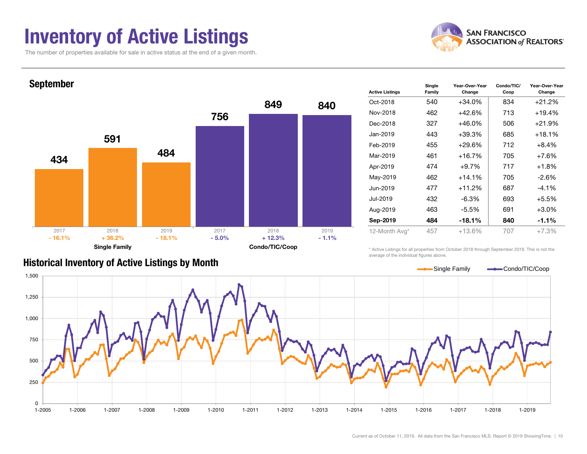### Inventory of Active Listings

The number of properties available for sale in active status at the end of a given month.





| <b>Active Listings</b> | Single<br>Family | Condo/TIC/<br>Year-Over-Year<br>Coop<br>Change |     | Year-Over-Year<br>Change |  |
|------------------------|------------------|------------------------------------------------|-----|--------------------------|--|
| Oct-2018               | 540              | +34.0%                                         | 834 | +21.2%                   |  |
| Nov-2018               | 462              | $+42.6%$                                       | 713 | +19.4%                   |  |
| Dec-2018               | 327              | $+46.0%$                                       | 506 | +21.9%                   |  |
| Jan-2019               | 443              | $+39.3%$                                       | 685 | +18.1%                   |  |
| Feb-2019               | 455              | $+29.6%$                                       | 712 | $+8.4%$                  |  |
| Mar-2019               | 461              | $+16.7%$                                       | 705 | $+7.6%$                  |  |
| Apr-2019               | 474              | $+9.7%$                                        | 717 | $+1.8%$                  |  |
| May-2019               | 462              | $+14.1%$                                       | 705 | $-2.6\%$                 |  |
| Jun-2019               | 477              | +11.2%                                         | 687 | $-4.1\%$                 |  |
| Jul-2019               | 432              | -6.3%                                          | 693 | $+5.5%$                  |  |
| Aug-2019               | 463              | $-5.5%$                                        | 691 | $+3.0%$                  |  |
| Sep-2019               | 484<br>$-18.1%$  |                                                | 840 | $-1.1%$                  |  |
| 12-Month Avg*          | 457              | $+13.6%$                                       | 707 | $+7.3%$                  |  |

#### Historical Inventory of Active Listings by Month

\* Active Listings for all properties from October 2018 through September 2019. This is not the average of the individual figures above.

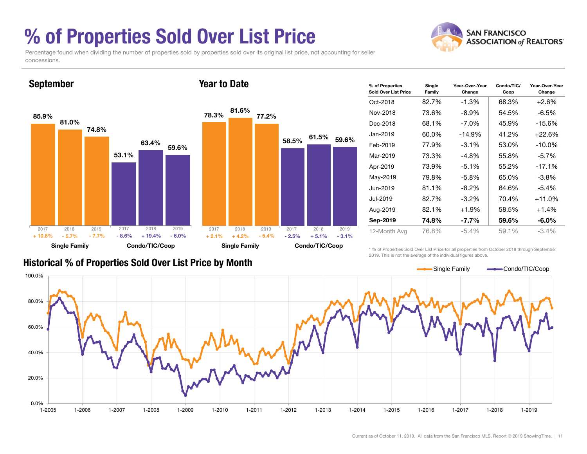### % of Properties Sold Over List Price

concessions.

Percentage found when dividing the number of properties sold by properties sold over its original list price, not accounting for seller



| % of Properties<br>Sold Over List Price | Single<br>Family | Year-Over-Year<br>Change | Condo/TIC/<br>Coop | Year-Over-Year<br>Change |  |  |
|-----------------------------------------|------------------|--------------------------|--------------------|--------------------------|--|--|
| Oct-2018                                | 82.7%            | $-1.3%$                  | 68.3%              | $+2.6%$                  |  |  |
| Nov-2018                                | 73.6%            | $-8.9\%$                 | 54.5%              | -6.5%                    |  |  |
| Dec-2018                                | 68.1%            | $-7.0\%$                 | 45.9%              | $-15.6%$                 |  |  |
| Jan-2019.                               | 60.0%            | $-14.9%$                 | 41.2%              | $+22.6%$                 |  |  |
| Feb-2019                                | 77.9%            | $-3.1\%$                 | 53.0%              | $-10.0\%$                |  |  |
| Mar-2019                                | 73.3%            | -4.8%                    | 55.8%              | $-5.7\%$                 |  |  |
| Apr-2019                                | 73.9%            | $-5.1%$                  | 55.2%              | $-17.1%$                 |  |  |
| May-2019                                | 79.8%            | $-5.8\%$                 | 65.0%              | -3.8%                    |  |  |
| Jun-2019                                | 81.1%            | $-8.2\%$                 | 64.6%              | $-5.4%$                  |  |  |
| Jul-2019                                | 82.7%            | $-3.2\%$                 | 70.4%              | $+11.0%$                 |  |  |
| Aug-2019                                | 82.1%            | $+1.9%$                  | 58.5%              | $+1.4%$                  |  |  |
| Sep-2019                                | 74.8%            | $-7.7\%$                 | 59.6%              | $-6.0\%$                 |  |  |
| 12-Month Avg                            | 76.8%            | $-5.4\%$                 | 59.1%              | $-3.4\%$                 |  |  |

### Historical % of Properties Sold Over List Price by Month

\* % of Properties Sold Over List Price for all properties from October 2018 through September 2019. This is not the average of the individual figures above.



**SAN FRANCISCO ASSOCIATION of REALTORS'**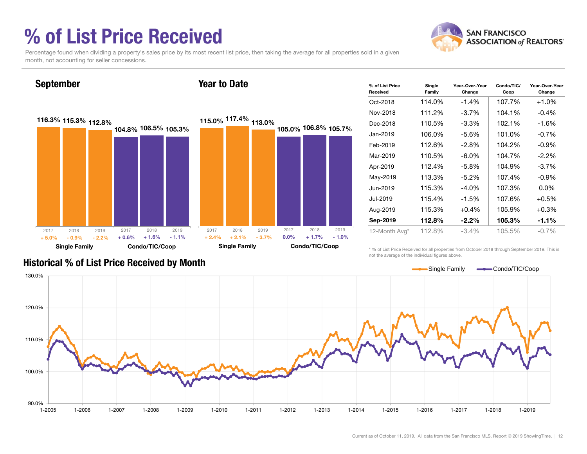### % of List Price Received



Percentage found when dividing a property's sales price by its most recent list price, then taking the average for all properties sold in a given month, not accounting for seller concessions.

#### September

#### Year to Date



| % of List Price<br>Received | Single<br>Family | Year-Over-Year<br>Change | Condo/TIC/<br>Coop | Year-Over-Year<br>Change |
|-----------------------------|------------------|--------------------------|--------------------|--------------------------|
| Oct-2018                    | 114.0%           | $-1.4%$                  | 107.7%             | $+1.0%$                  |
| Nov-2018                    | 111.2%           | $-3.7\%$                 | 104.1%             | $-0.4\%$                 |
| Dec-2018                    | 110.5%           | $-3.3%$                  | 102.1%             | $-1.6%$                  |
| Jan-2019                    | 106.0%           | -5.6%                    | 101.0%             | $-0.7%$                  |
| Feb-2019                    | 112.6%           | $-2.8%$                  | 104.2%             | $-0.9%$                  |
| Mar-2019                    | 110.5%           | $-6.0\%$                 | 104.7%             | $-2.2\%$                 |
| Apr-2019                    | 112.4%           | $-5.8\%$                 | 104.9%             | $-3.7%$                  |
| May-2019                    | 113.3%           | $-5.2\%$                 | 107.4%             | $-0.9%$                  |
| Jun-2019                    | 115.3%           | $-4.0\%$                 | 107.3%             | $0.0\%$                  |
| Jul-2019                    | 115.4%           | $-1.5%$                  | 107.6%             | $+0.5%$                  |
| Aug-2019                    | 115.3%           | $+0.4%$                  | 105.9%             | $+0.3%$                  |
| Sep-2019                    | 112.8%           | $-2.2\%$                 | 105.3%             | $-1.1%$                  |
| 12-Month Avg*               | 112.8%           | $-3.4%$                  | 105.5%             | $-0.7%$                  |

\* % of List Price Received for all properties from October 2018 through September 2019. This is not the average of the individual figures above.



#### Historical % of List Price Received by Month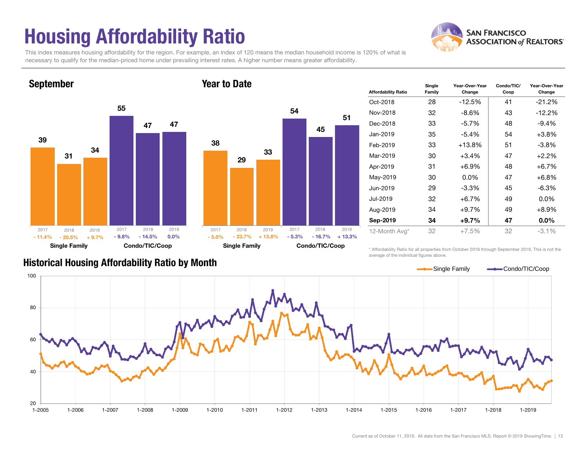## Housing Affordability Ratio

This index measures housing affordability for the region. For example, an index of 120 means the median household income is 120% of what is necessary to qualify for the median-priced home under prevailing interest rates. A higher number means greater affordability.

Year to Date



September



| <b>Affordability Ratio</b> | Single<br>Family | Year-Over-Year<br>Change | Condo/TIC/<br>Coop | Year-Over-Year<br>Change |  |  |
|----------------------------|------------------|--------------------------|--------------------|--------------------------|--|--|
| Oct-2018                   | 28               | $-12.5%$                 | 41                 | $-21.2%$                 |  |  |
| Nov-2018                   | 32               | $-8.6\%$                 | 43                 | $-12.2%$                 |  |  |
| Dec-2018                   | 33               | $-5.7\%$                 | 48                 | $-9.4%$                  |  |  |
| Jan-2019                   | 35               | $-5.4\%$                 | 54                 | $+3.8%$                  |  |  |
| Feb-2019                   | 33               | $+13.8%$                 | 51                 | $-3.8\%$                 |  |  |
| Mar-2019                   | 30               | 47<br>+3.4%              |                    | $+2.2%$                  |  |  |
| Apr-2019                   | 31               | +6.9%                    | 48                 | $+6.7%$                  |  |  |
| May-2019                   | 30               | $0.0\%$                  | 47                 | $+6.8%$                  |  |  |
| Jun-2019                   | 29               | $-3.3\%$                 | 45                 | $-6.3%$                  |  |  |
| Jul-2019                   | 32               | +6.7%                    | 49                 | $0.0\%$                  |  |  |
| Aug-2019                   | 34               | +9.7%<br>49              |                    | +8.9%                    |  |  |
| Sep-2019                   | 34               | +9.7%                    | 47                 | $0.0\%$                  |  |  |
| 12-Month Avg*              | 32               | $+7.5%$                  | 32                 | $-3.1%$                  |  |  |

#### Historical Housing Affordability Ratio by Month

\* Affordability Ratio for all properties from October 2018 through September 2019. This is not the average of the individual figures above.

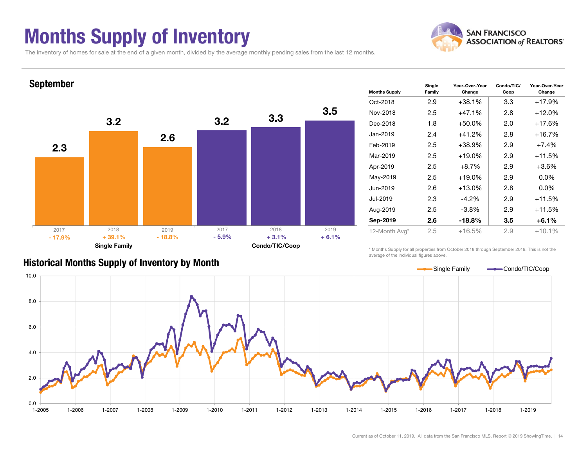### Months Supply of Inventory



Change

The inventory of homes for sale at the end of a given month, divided by the average monthly pending sales from the last 12 months.



#### Historical Months Supply of Inventory by Month

\* Months Supply for all properties from October 2018 through September 2019. This is not the average of the individual figures above.

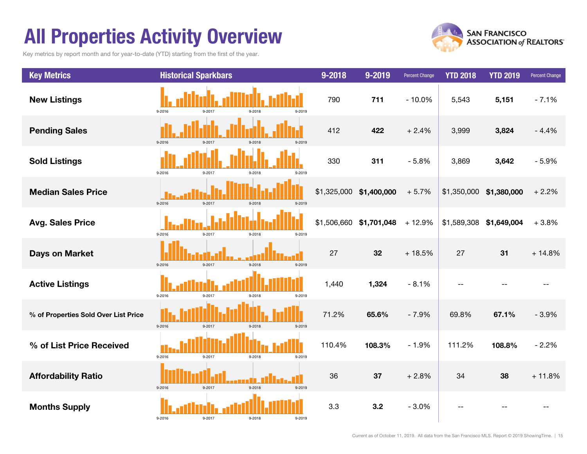### All Properties Activity Overview

Key metrics by report month and for year-to-date (YTD) starting from the first of the year.